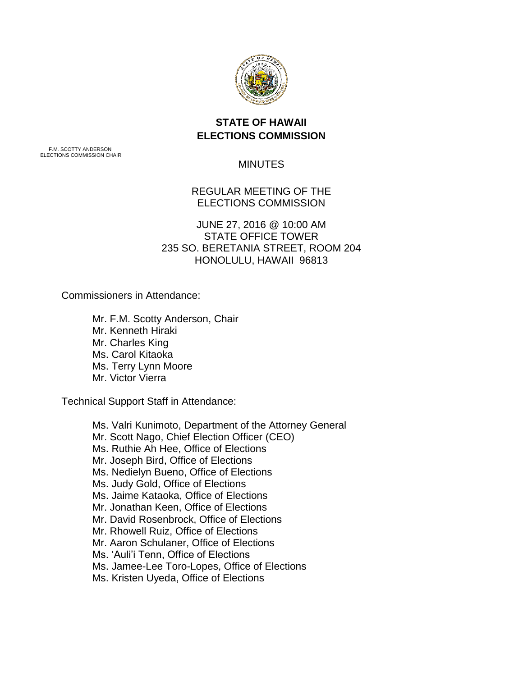

## **STATE OF HAWAII ELECTIONS COMMISSION**

F.M. SCOTTY ANDERSON ELECTIONS COMMISSION CHAIR

MINUTES

REGULAR MEETING OF THE ELECTIONS COMMISSION

JUNE 27, 2016 @ 10:00 AM STATE OFFICE TOWER 235 SO. BERETANIA STREET, ROOM 204 HONOLULU, HAWAII 96813

Commissioners in Attendance:

Mr. F.M. Scotty Anderson, Chair Mr. Kenneth Hiraki Mr. Charles King Ms. Carol Kitaoka Ms. Terry Lynn Moore Mr. Victor Vierra

Technical Support Staff in Attendance:

Ms. Valri Kunimoto, Department of the Attorney General Mr. Scott Nago, Chief Election Officer (CEO) Ms. Ruthie Ah Hee, Office of Elections Mr. Joseph Bird, Office of Elections Ms. Nedielyn Bueno, Office of Elections Ms. Judy Gold, Office of Elections Ms. Jaime Kataoka, Office of Elections Mr. Jonathan Keen, Office of Elections Mr. David Rosenbrock, Office of Elections Mr. Rhowell Ruiz, Office of Elections Mr. Aaron Schulaner, Office of Elections Ms. 'Auli'i Tenn, Office of Elections Ms. Jamee-Lee Toro-Lopes, Office of Elections Ms. Kristen Uyeda, Office of Elections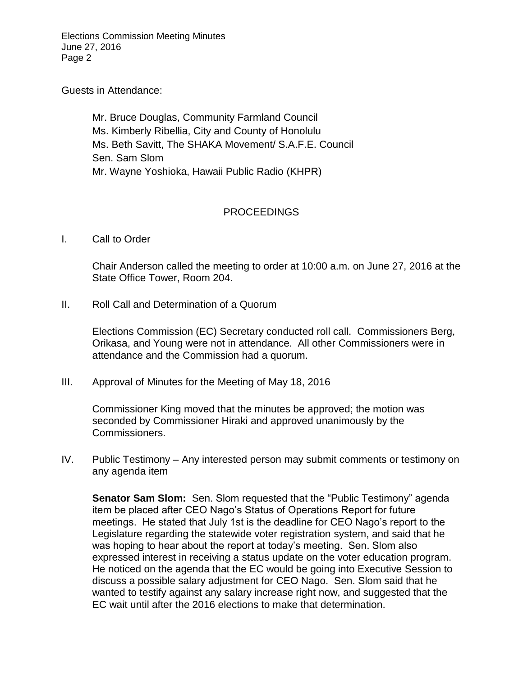Elections Commission Meeting Minutes June 27, 2016 Page 2

Guests in Attendance:

Mr. Bruce Douglas, Community Farmland Council Ms. Kimberly Ribellia, City and County of Honolulu Ms. Beth Savitt, The SHAKA Movement/ S.A.F.E. Council Sen. Sam Slom Mr. Wayne Yoshioka, Hawaii Public Radio (KHPR)

## PROCEEDINGS

I. Call to Order

Chair Anderson called the meeting to order at 10:00 a.m. on June 27, 2016 at the State Office Tower, Room 204.

II. Roll Call and Determination of a Quorum

Elections Commission (EC) Secretary conducted roll call. Commissioners Berg, Orikasa, and Young were not in attendance. All other Commissioners were in attendance and the Commission had a quorum.

III. Approval of Minutes for the Meeting of May 18, 2016

Commissioner King moved that the minutes be approved; the motion was seconded by Commissioner Hiraki and approved unanimously by the Commissioners.

IV. Public Testimony – Any interested person may submit comments or testimony on any agenda item

**Senator Sam Slom:** Sen. Slom requested that the "Public Testimony" agenda item be placed after CEO Nago's Status of Operations Report for future meetings. He stated that July 1st is the deadline for CEO Nago's report to the Legislature regarding the statewide voter registration system, and said that he was hoping to hear about the report at today's meeting. Sen. Slom also expressed interest in receiving a status update on the voter education program. He noticed on the agenda that the EC would be going into Executive Session to discuss a possible salary adjustment for CEO Nago. Sen. Slom said that he wanted to testify against any salary increase right now, and suggested that the EC wait until after the 2016 elections to make that determination.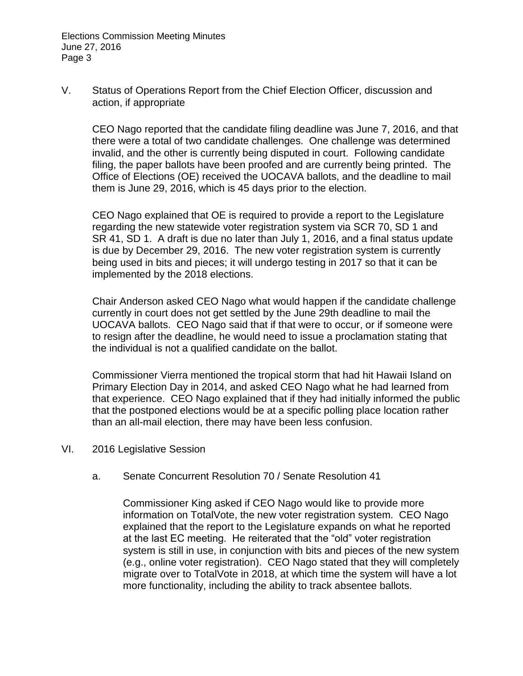Elections Commission Meeting Minutes June 27, 2016 Page 3

V. Status of Operations Report from the Chief Election Officer, discussion and action, if appropriate

CEO Nago reported that the candidate filing deadline was June 7, 2016, and that there were a total of two candidate challenges. One challenge was determined invalid, and the other is currently being disputed in court. Following candidate filing, the paper ballots have been proofed and are currently being printed. The Office of Elections (OE) received the UOCAVA ballots, and the deadline to mail them is June 29, 2016, which is 45 days prior to the election.

CEO Nago explained that OE is required to provide a report to the Legislature regarding the new statewide voter registration system via SCR 70, SD 1 and SR 41, SD 1. A draft is due no later than July 1, 2016, and a final status update is due by December 29, 2016. The new voter registration system is currently being used in bits and pieces; it will undergo testing in 2017 so that it can be implemented by the 2018 elections.

Chair Anderson asked CEO Nago what would happen if the candidate challenge currently in court does not get settled by the June 29th deadline to mail the UOCAVA ballots. CEO Nago said that if that were to occur, or if someone were to resign after the deadline, he would need to issue a proclamation stating that the individual is not a qualified candidate on the ballot.

Commissioner Vierra mentioned the tropical storm that had hit Hawaii Island on Primary Election Day in 2014, and asked CEO Nago what he had learned from that experience. CEO Nago explained that if they had initially informed the public that the postponed elections would be at a specific polling place location rather than an all-mail election, there may have been less confusion.

- VI. 2016 Legislative Session
	- a. Senate Concurrent Resolution 70 / Senate Resolution 41

Commissioner King asked if CEO Nago would like to provide more information on TotalVote, the new voter registration system. CEO Nago explained that the report to the Legislature expands on what he reported at the last EC meeting. He reiterated that the "old" voter registration system is still in use, in conjunction with bits and pieces of the new system (e.g., online voter registration). CEO Nago stated that they will completely migrate over to TotalVote in 2018, at which time the system will have a lot more functionality, including the ability to track absentee ballots.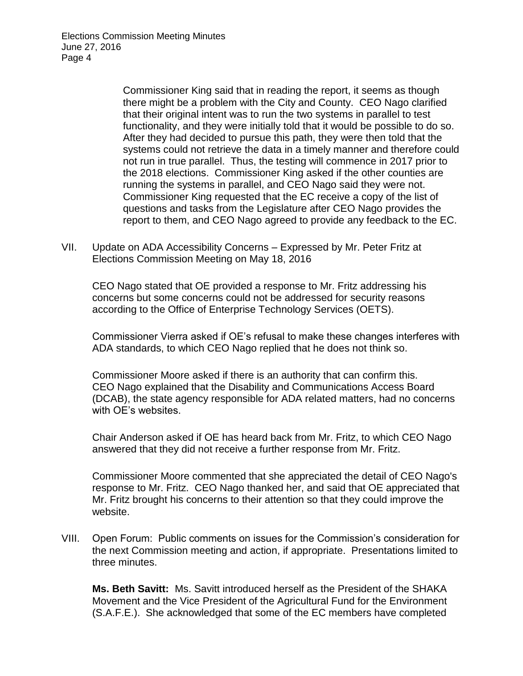Elections Commission Meeting Minutes June 27, 2016 Page 4

> Commissioner King said that in reading the report, it seems as though there might be a problem with the City and County. CEO Nago clarified that their original intent was to run the two systems in parallel to test functionality, and they were initially told that it would be possible to do so. After they had decided to pursue this path, they were then told that the systems could not retrieve the data in a timely manner and therefore could not run in true parallel. Thus, the testing will commence in 2017 prior to the 2018 elections. Commissioner King asked if the other counties are running the systems in parallel, and CEO Nago said they were not. Commissioner King requested that the EC receive a copy of the list of questions and tasks from the Legislature after CEO Nago provides the report to them, and CEO Nago agreed to provide any feedback to the EC.

VII. Update on ADA Accessibility Concerns – Expressed by Mr. Peter Fritz at Elections Commission Meeting on May 18, 2016

CEO Nago stated that OE provided a response to Mr. Fritz addressing his concerns but some concerns could not be addressed for security reasons according to the Office of Enterprise Technology Services (OETS).

Commissioner Vierra asked if OE's refusal to make these changes interferes with ADA standards, to which CEO Nago replied that he does not think so.

Commissioner Moore asked if there is an authority that can confirm this. CEO Nago explained that the Disability and Communications Access Board (DCAB), the state agency responsible for ADA related matters, had no concerns with OE's websites.

Chair Anderson asked if OE has heard back from Mr. Fritz, to which CEO Nago answered that they did not receive a further response from Mr. Fritz.

Commissioner Moore commented that she appreciated the detail of CEO Nago's response to Mr. Fritz. CEO Nago thanked her, and said that OE appreciated that Mr. Fritz brought his concerns to their attention so that they could improve the website.

VIII. Open Forum: Public comments on issues for the Commission's consideration for the next Commission meeting and action, if appropriate. Presentations limited to three minutes.

**Ms. Beth Savitt:** Ms. Savitt introduced herself as the President of the SHAKA Movement and the Vice President of the Agricultural Fund for the Environment (S.A.F.E.). She acknowledged that some of the EC members have completed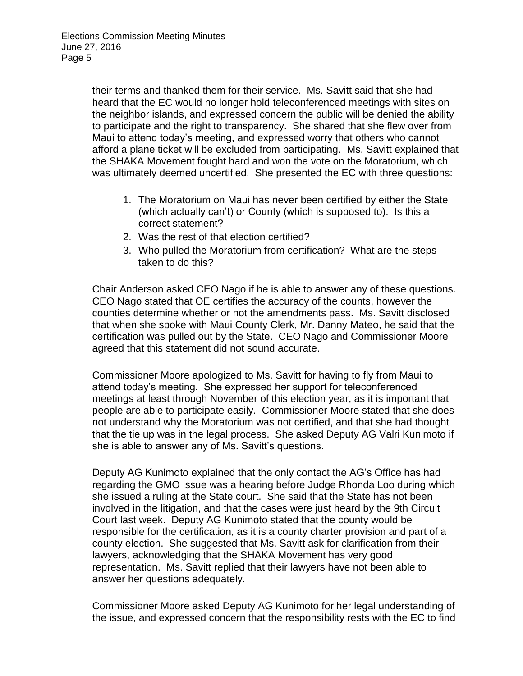their terms and thanked them for their service. Ms. Savitt said that she had heard that the EC would no longer hold teleconferenced meetings with sites on the neighbor islands, and expressed concern the public will be denied the ability to participate and the right to transparency. She shared that she flew over from Maui to attend today's meeting, and expressed worry that others who cannot afford a plane ticket will be excluded from participating. Ms. Savitt explained that the SHAKA Movement fought hard and won the vote on the Moratorium, which was ultimately deemed uncertified. She presented the EC with three questions:

- 1. The Moratorium on Maui has never been certified by either the State (which actually can't) or County (which is supposed to). Is this a correct statement?
- 2. Was the rest of that election certified?
- 3. Who pulled the Moratorium from certification? What are the steps taken to do this?

Chair Anderson asked CEO Nago if he is able to answer any of these questions. CEO Nago stated that OE certifies the accuracy of the counts, however the counties determine whether or not the amendments pass. Ms. Savitt disclosed that when she spoke with Maui County Clerk, Mr. Danny Mateo, he said that the certification was pulled out by the State. CEO Nago and Commissioner Moore agreed that this statement did not sound accurate.

Commissioner Moore apologized to Ms. Savitt for having to fly from Maui to attend today's meeting. She expressed her support for teleconferenced meetings at least through November of this election year, as it is important that people are able to participate easily. Commissioner Moore stated that she does not understand why the Moratorium was not certified, and that she had thought that the tie up was in the legal process. She asked Deputy AG Valri Kunimoto if she is able to answer any of Ms. Savitt's questions.

Deputy AG Kunimoto explained that the only contact the AG's Office has had regarding the GMO issue was a hearing before Judge Rhonda Loo during which she issued a ruling at the State court. She said that the State has not been involved in the litigation, and that the cases were just heard by the 9th Circuit Court last week. Deputy AG Kunimoto stated that the county would be responsible for the certification, as it is a county charter provision and part of a county election. She suggested that Ms. Savitt ask for clarification from their lawyers, acknowledging that the SHAKA Movement has very good representation. Ms. Savitt replied that their lawyers have not been able to answer her questions adequately.

Commissioner Moore asked Deputy AG Kunimoto for her legal understanding of the issue, and expressed concern that the responsibility rests with the EC to find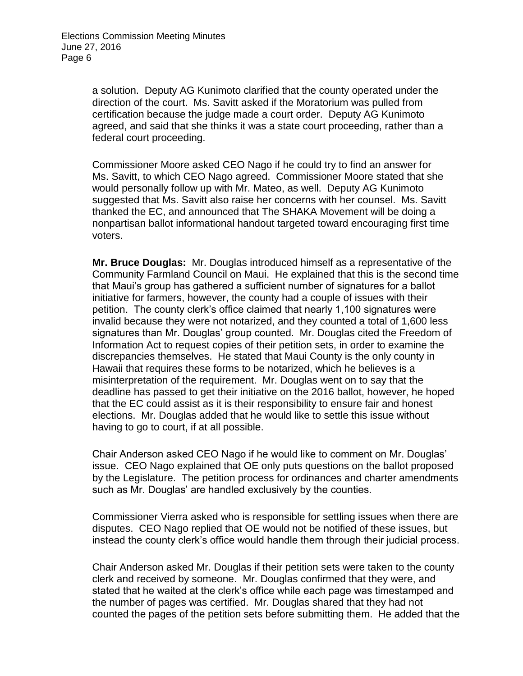a solution. Deputy AG Kunimoto clarified that the county operated under the direction of the court. Ms. Savitt asked if the Moratorium was pulled from certification because the judge made a court order. Deputy AG Kunimoto agreed, and said that she thinks it was a state court proceeding, rather than a federal court proceeding.

Commissioner Moore asked CEO Nago if he could try to find an answer for Ms. Savitt, to which CEO Nago agreed. Commissioner Moore stated that she would personally follow up with Mr. Mateo, as well. Deputy AG Kunimoto suggested that Ms. Savitt also raise her concerns with her counsel. Ms. Savitt thanked the EC, and announced that The SHAKA Movement will be doing a nonpartisan ballot informational handout targeted toward encouraging first time voters.

**Mr. Bruce Douglas:** Mr. Douglas introduced himself as a representative of the Community Farmland Council on Maui. He explained that this is the second time that Maui's group has gathered a sufficient number of signatures for a ballot initiative for farmers, however, the county had a couple of issues with their petition. The county clerk's office claimed that nearly 1,100 signatures were invalid because they were not notarized, and they counted a total of 1,600 less signatures than Mr. Douglas' group counted. Mr. Douglas cited the Freedom of Information Act to request copies of their petition sets, in order to examine the discrepancies themselves. He stated that Maui County is the only county in Hawaii that requires these forms to be notarized, which he believes is a misinterpretation of the requirement. Mr. Douglas went on to say that the deadline has passed to get their initiative on the 2016 ballot, however, he hoped that the EC could assist as it is their responsibility to ensure fair and honest elections. Mr. Douglas added that he would like to settle this issue without having to go to court, if at all possible.

Chair Anderson asked CEO Nago if he would like to comment on Mr. Douglas' issue. CEO Nago explained that OE only puts questions on the ballot proposed by the Legislature. The petition process for ordinances and charter amendments such as Mr. Douglas' are handled exclusively by the counties.

Commissioner Vierra asked who is responsible for settling issues when there are disputes. CEO Nago replied that OE would not be notified of these issues, but instead the county clerk's office would handle them through their judicial process.

Chair Anderson asked Mr. Douglas if their petition sets were taken to the county clerk and received by someone. Mr. Douglas confirmed that they were, and stated that he waited at the clerk's office while each page was timestamped and the number of pages was certified. Mr. Douglas shared that they had not counted the pages of the petition sets before submitting them. He added that the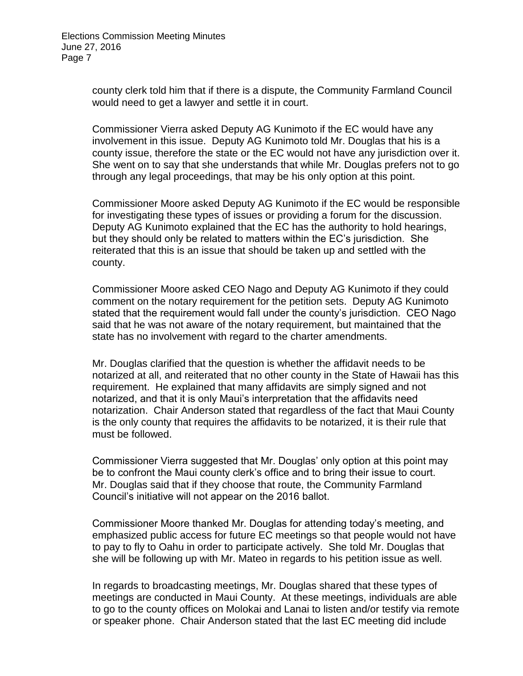county clerk told him that if there is a dispute, the Community Farmland Council would need to get a lawyer and settle it in court.

Commissioner Vierra asked Deputy AG Kunimoto if the EC would have any involvement in this issue. Deputy AG Kunimoto told Mr. Douglas that his is a county issue, therefore the state or the EC would not have any jurisdiction over it. She went on to say that she understands that while Mr. Douglas prefers not to go through any legal proceedings, that may be his only option at this point.

Commissioner Moore asked Deputy AG Kunimoto if the EC would be responsible for investigating these types of issues or providing a forum for the discussion. Deputy AG Kunimoto explained that the EC has the authority to hold hearings, but they should only be related to matters within the EC's jurisdiction. She reiterated that this is an issue that should be taken up and settled with the county.

Commissioner Moore asked CEO Nago and Deputy AG Kunimoto if they could comment on the notary requirement for the petition sets. Deputy AG Kunimoto stated that the requirement would fall under the county's jurisdiction. CEO Nago said that he was not aware of the notary requirement, but maintained that the state has no involvement with regard to the charter amendments.

Mr. Douglas clarified that the question is whether the affidavit needs to be notarized at all, and reiterated that no other county in the State of Hawaii has this requirement. He explained that many affidavits are simply signed and not notarized, and that it is only Maui's interpretation that the affidavits need notarization. Chair Anderson stated that regardless of the fact that Maui County is the only county that requires the affidavits to be notarized, it is their rule that must be followed.

Commissioner Vierra suggested that Mr. Douglas' only option at this point may be to confront the Maui county clerk's office and to bring their issue to court. Mr. Douglas said that if they choose that route, the Community Farmland Council's initiative will not appear on the 2016 ballot.

Commissioner Moore thanked Mr. Douglas for attending today's meeting, and emphasized public access for future EC meetings so that people would not have to pay to fly to Oahu in order to participate actively. She told Mr. Douglas that she will be following up with Mr. Mateo in regards to his petition issue as well.

In regards to broadcasting meetings, Mr. Douglas shared that these types of meetings are conducted in Maui County. At these meetings, individuals are able to go to the county offices on Molokai and Lanai to listen and/or testify via remote or speaker phone. Chair Anderson stated that the last EC meeting did include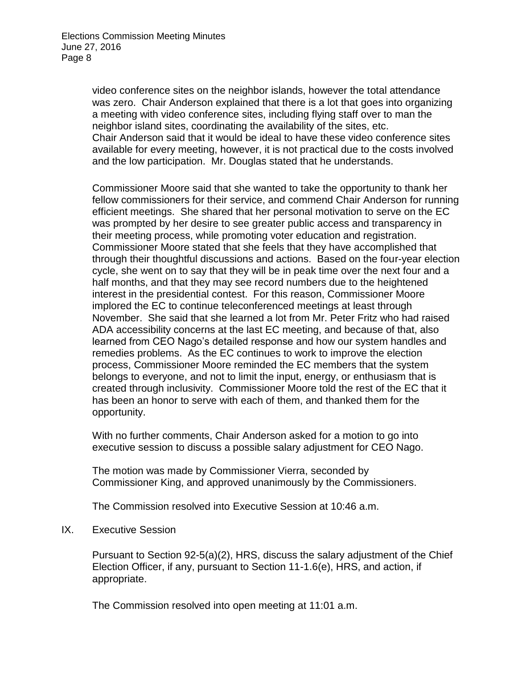video conference sites on the neighbor islands, however the total attendance was zero. Chair Anderson explained that there is a lot that goes into organizing a meeting with video conference sites, including flying staff over to man the neighbor island sites, coordinating the availability of the sites, etc. Chair Anderson said that it would be ideal to have these video conference sites available for every meeting, however, it is not practical due to the costs involved and the low participation. Mr. Douglas stated that he understands.

Commissioner Moore said that she wanted to take the opportunity to thank her fellow commissioners for their service, and commend Chair Anderson for running efficient meetings. She shared that her personal motivation to serve on the EC was prompted by her desire to see greater public access and transparency in their meeting process, while promoting voter education and registration. Commissioner Moore stated that she feels that they have accomplished that through their thoughtful discussions and actions. Based on the four-year election cycle, she went on to say that they will be in peak time over the next four and a half months, and that they may see record numbers due to the heightened interest in the presidential contest. For this reason, Commissioner Moore implored the EC to continue teleconferenced meetings at least through November. She said that she learned a lot from Mr. Peter Fritz who had raised ADA accessibility concerns at the last EC meeting, and because of that, also learned from CEO Nago's detailed response and how our system handles and remedies problems. As the EC continues to work to improve the election process, Commissioner Moore reminded the EC members that the system belongs to everyone, and not to limit the input, energy, or enthusiasm that is created through inclusivity. Commissioner Moore told the rest of the EC that it has been an honor to serve with each of them, and thanked them for the opportunity.

With no further comments, Chair Anderson asked for a motion to go into executive session to discuss a possible salary adjustment for CEO Nago.

The motion was made by Commissioner Vierra, seconded by Commissioner King, and approved unanimously by the Commissioners.

The Commission resolved into Executive Session at 10:46 a.m.

IX. Executive Session

Pursuant to Section 92-5(a)(2), HRS, discuss the salary adjustment of the Chief Election Officer, if any, pursuant to Section 11-1.6(e), HRS, and action, if appropriate.

The Commission resolved into open meeting at 11:01 a.m.